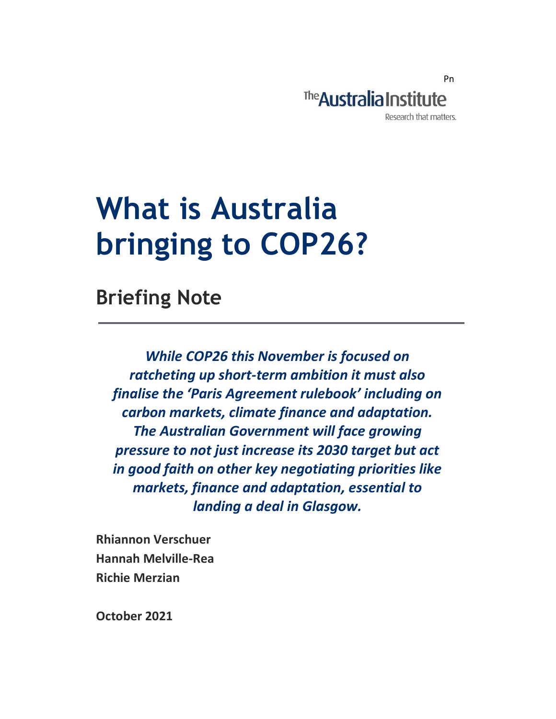

# What is Australia bringing to COP26?

Briefing Note

While COP26 this November is focused on ratcheting up short-term ambition it must also finalise the 'Paris Agreement rulebook' including on carbon markets, climate finance and adaptation. The Australian Government will face growing pressure to not just increase its 2030 target but act in good faith on other key negotiating priorities like markets, finance and adaptation, essential to landing a deal in Glasgow.

Rhiannon Verschuer Hannah Melville-Rea Richie Merzian

October 2021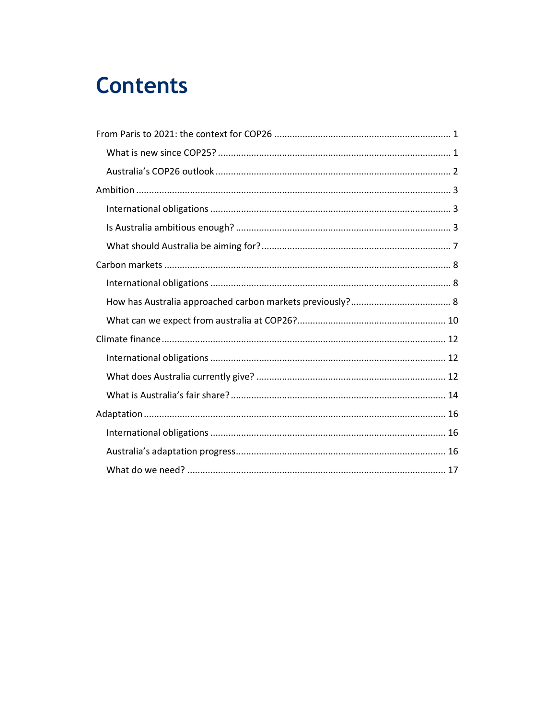### **Contents**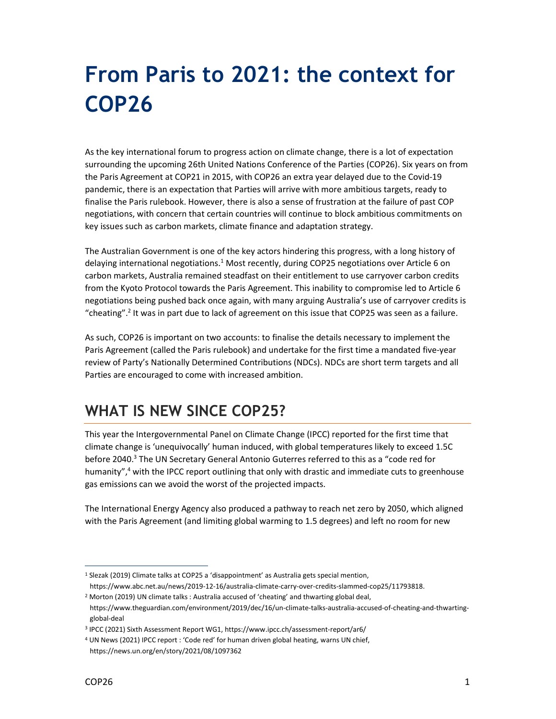## From Paris to 2021: the context for COP26

As the key international forum to progress action on climate change, there is a lot of expectation surrounding the upcoming 26th United Nations Conference of the Parties (COP26). Six years on from the Paris Agreement at COP21 in 2015, with COP26 an extra year delayed due to the Covid-19 pandemic, there is an expectation that Parties will arrive with more ambitious targets, ready to finalise the Paris rulebook. However, there is also a sense of frustration at the failure of past COP negotiations, with concern that certain countries will continue to block ambitious commitments on key issues such as carbon markets, climate finance and adaptation strategy.

The Australian Government is one of the key actors hindering this progress, with a long history of delaying international negotiations.<sup>1</sup> Most recently, during COP25 negotiations over Article 6 on carbon markets, Australia remained steadfast on their entitlement to use carryover carbon credits from the Kyoto Protocol towards the Paris Agreement. This inability to compromise led to Article 6 negotiations being pushed back once again, with many arguing Australia's use of carryover credits is "cheating".<sup>2</sup> It was in part due to lack of agreement on this issue that COP25 was seen as a failure.

As such, COP26 is important on two accounts: to finalise the details necessary to implement the Paris Agreement (called the Paris rulebook) and undertake for the first time a mandated five-year review of Party's Nationally Determined Contributions (NDCs). NDCs are short term targets and all Parties are encouraged to come with increased ambition.

#### WHAT IS NEW SINCE COP25?

This year the Intergovernmental Panel on Climate Change (IPCC) reported for the first time that climate change is 'unequivocally' human induced, with global temperatures likely to exceed 1.5C before 2040.<sup>3</sup> The UN Secretary General Antonio Guterres referred to this as a "code red for humanity",<sup>4</sup> with the IPCC report outlining that only with drastic and immediate cuts to greenhouse gas emissions can we avoid the worst of the projected impacts.

The International Energy Agency also produced a pathway to reach net zero by 2050, which aligned with the Paris Agreement (and limiting global warming to 1.5 degrees) and left no room for new

<sup>&</sup>lt;sup>1</sup> Slezak (2019) Climate talks at COP25 a 'disappointment' as Australia gets special mention,

https://www.abc.net.au/news/2019-12-16/australia-climate-carry-over-credits-slammed-cop25/11793818. <sup>2</sup> Morton (2019) UN climate talks : Australia accused of 'cheating' and thwarting global deal,

https://www.theguardian.com/environment/2019/dec/16/un-climate-talks-australia-accused-of-cheating-and-thwartingglobal-deal

<sup>3</sup> IPCC (2021) Sixth Assessment Report WG1, https://www.ipcc.ch/assessment-report/ar6/

<sup>&</sup>lt;sup>4</sup> UN News (2021) IPCC report : 'Code red' for human driven global heating, warns UN chief, https://news.un.org/en/story/2021/08/1097362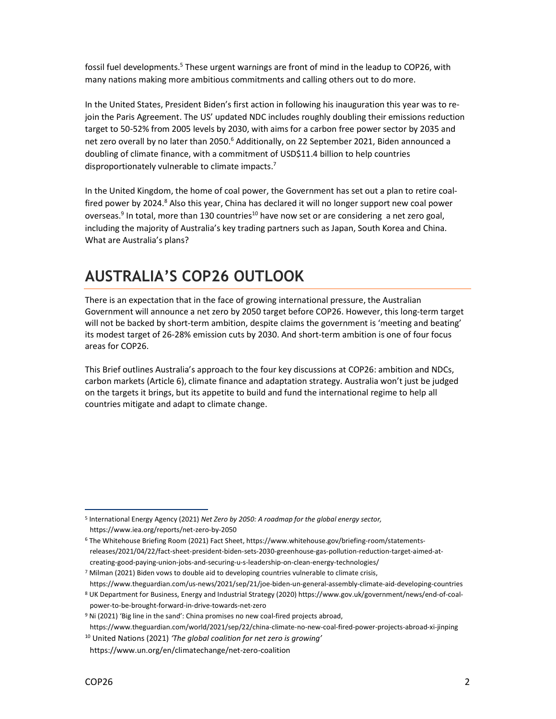fossil fuel developments.<sup>5</sup> These urgent warnings are front of mind in the leadup to COP26, with many nations making more ambitious commitments and calling others out to do more.

In the United States, President Biden's first action in following his inauguration this year was to rejoin the Paris Agreement. The US' updated NDC includes roughly doubling their emissions reduction target to 50-52% from 2005 levels by 2030, with aims for a carbon free power sector by 2035 and net zero overall by no later than 2050.<sup>6</sup> Additionally, on 22 September 2021, Biden announced a doubling of climate finance, with a commitment of USD\$11.4 billion to help countries disproportionately vulnerable to climate impacts. $^7$ 

In the United Kingdom, the home of coal power, the Government has set out a plan to retire coalfired power by 2024.<sup>8</sup> Also this year, China has declared it will no longer support new coal power overseas.<sup>9</sup> In total, more than 130 countries<sup>10</sup> have now set or are considering a net zero goal, including the majority of Australia's key trading partners such as Japan, South Korea and China. What are Australia's plans?

### AUSTRALIA'S COP26 OUTLOOK

There is an expectation that in the face of growing international pressure, the Australian Government will announce a net zero by 2050 target before COP26. However, this long-term target will not be backed by short-term ambition, despite claims the government is 'meeting and beating' its modest target of 26-28% emission cuts by 2030. And short-term ambition is one of four focus areas for COP26.

This Brief outlines Australia's approach to the four key discussions at COP26: ambition and NDCs, carbon markets (Article 6), climate finance and adaptation strategy. Australia won't just be judged on the targets it brings, but its appetite to build and fund the international regime to help all countries mitigate and adapt to climate change.

<sup>&</sup>lt;sup>5</sup> International Energy Agency (2021) Net Zero by 2050: A roadmap for the global energy sector, https://www.iea.org/reports/net-zero-by-2050

<sup>6</sup> The Whitehouse Briefing Room (2021) Fact Sheet, https://www.whitehouse.gov/briefing-room/statementsreleases/2021/04/22/fact-sheet-president-biden-sets-2030-greenhouse-gas-pollution-reduction-target-aimed-atcreating-good-paying-union-jobs-and-securing-u-s-leadership-on-clean-energy-technologies/

<sup>&</sup>lt;sup>7</sup> Milman (2021) Biden vows to double aid to developing countries vulnerable to climate crisis, https://www.theguardian.com/us-news/2021/sep/21/joe-biden-un-general-assembly-climate-aid-developing-countries

<sup>8</sup> UK Department for Business, Energy and Industrial Strategy (2020) https://www.gov.uk/government/news/end-of-coalpower-to-be-brought-forward-in-drive-towards-net-zero

<sup>&</sup>lt;sup>9</sup> Ni (2021) 'Big line in the sand': China promises no new coal-fired projects abroad, https://www.theguardian.com/world/2021/sep/22/china-climate-no-new-coal-fired-power-projects-abroad-xi-jinping

 $10$  United Nations (2021) 'The global coalition for net zero is growing'

https://www.un.org/en/climatechange/net-zero-coalition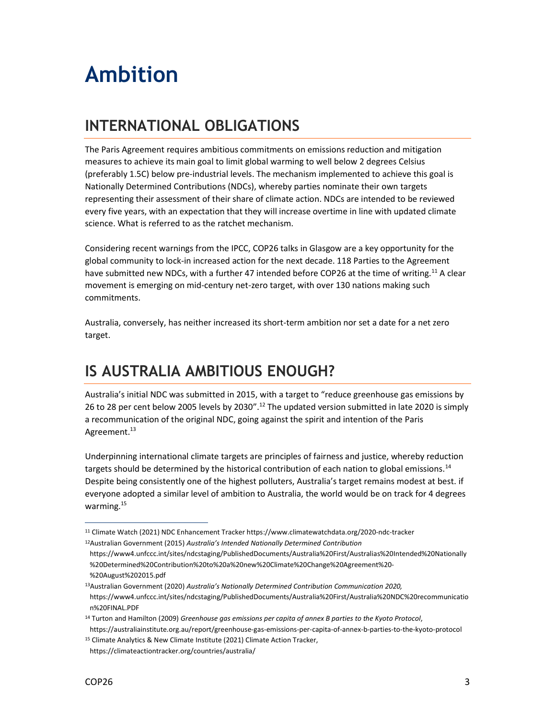## Ambition

### INTERNATIONAL OBLIGATIONS

The Paris Agreement requires ambitious commitments on emissions reduction and mitigation measures to achieve its main goal to limit global warming to well below 2 degrees Celsius (preferably 1.5C) below pre-industrial levels. The mechanism implemented to achieve this goal is Nationally Determined Contributions (NDCs), whereby parties nominate their own targets representing their assessment of their share of climate action. NDCs are intended to be reviewed every five years, with an expectation that they will increase overtime in line with updated climate science. What is referred to as the ratchet mechanism.

Considering recent warnings from the IPCC, COP26 talks in Glasgow are a key opportunity for the global community to lock-in increased action for the next decade. 118 Parties to the Agreement have submitted new NDCs, with a further 47 intended before COP26 at the time of writing.<sup>11</sup> A clear movement is emerging on mid-century net-zero target, with over 130 nations making such commitments.

Australia, conversely, has neither increased its short-term ambition nor set a date for a net zero target.

#### IS AUSTRALIA AMBITIOUS ENOUGH?

Australia's initial NDC was submitted in 2015, with a target to "reduce greenhouse gas emissions by 26 to 28 per cent below 2005 levels by 2030".<sup>12</sup> The updated version submitted in late 2020 is simply a recommunication of the original NDC, going against the spirit and intention of the Paris Agreement.<sup>13</sup>

Underpinning international climate targets are principles of fairness and justice, whereby reduction targets should be determined by the historical contribution of each nation to global emissions.<sup>14</sup> Despite being consistently one of the highest polluters, Australia's target remains modest at best. if everyone adopted a similar level of ambition to Australia, the world would be on track for 4 degrees warming.<sup>15</sup>

<sup>11</sup> Climate Watch (2021) NDC Enhancement Tracker https://www.climatewatchdata.org/2020-ndc-tracker

<sup>&</sup>lt;sup>12</sup>Australian Government (2015) Australia's Intended Nationally Determined Contribution https://www4.unfccc.int/sites/ndcstaging/PublishedDocuments/Australia%20First/Australias%20Intended%20Nationally %20Determined%20Contribution%20to%20a%20new%20Climate%20Change%20Agreement%20- %20August%202015.pdf

<sup>&</sup>lt;sup>13</sup>Australian Government (2020) Australia's Nationally Determined Contribution Communication 2020, https://www4.unfccc.int/sites/ndcstaging/PublishedDocuments/Australia%20First/Australia%20NDC%20recommunicatio n%20FINAL.PDF

<sup>&</sup>lt;sup>14</sup> Turton and Hamilton (2009) Greenhouse gas emissions per capita of annex B parties to the Kyoto Protocol,

https://australiainstitute.org.au/report/greenhouse-gas-emissions-per-capita-of-annex-b-parties-to-the-kyoto-protocol <sup>15</sup> Climate Analytics & New Climate Institute (2021) Climate Action Tracker,

https://climateactiontracker.org/countries/australia/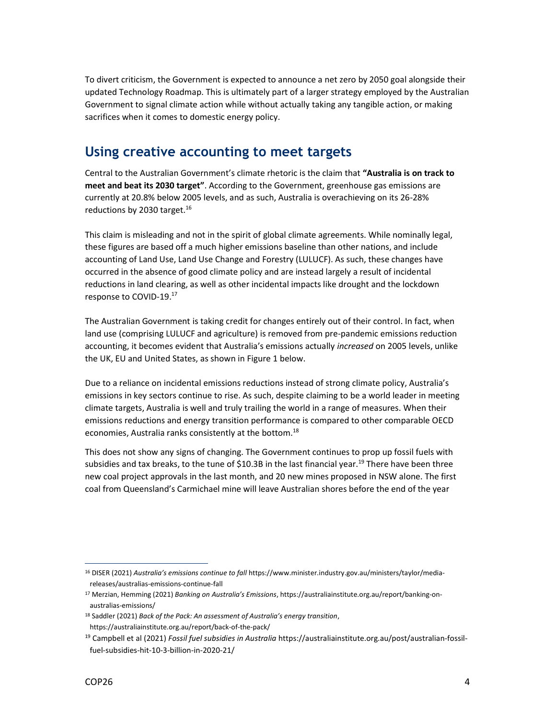To divert criticism, the Government is expected to announce a net zero by 2050 goal alongside their updated Technology Roadmap. This is ultimately part of a larger strategy employed by the Australian Government to signal climate action while without actually taking any tangible action, or making sacrifices when it comes to domestic energy policy.

#### Using creative accounting to meet targets

Central to the Australian Government's climate rhetoric is the claim that "Australia is on track to meet and beat its 2030 target". According to the Government, greenhouse gas emissions are currently at 20.8% below 2005 levels, and as such, Australia is overachieving on its 26-28% reductions by 2030 target.<sup>16</sup>

This claim is misleading and not in the spirit of global climate agreements. While nominally legal, these figures are based off a much higher emissions baseline than other nations, and include accounting of Land Use, Land Use Change and Forestry (LULUCF). As such, these changes have occurred in the absence of good climate policy and are instead largely a result of incidental reductions in land clearing, as well as other incidental impacts like drought and the lockdown response to COVID-19.<sup>17</sup>

The Australian Government is taking credit for changes entirely out of their control. In fact, when land use (comprising LULUCF and agriculture) is removed from pre-pandemic emissions reduction accounting, it becomes evident that Australia's emissions actually increased on 2005 levels, unlike the UK, EU and United States, as shown in Figure 1 below.

Due to a reliance on incidental emissions reductions instead of strong climate policy, Australia's emissions in key sectors continue to rise. As such, despite claiming to be a world leader in meeting climate targets, Australia is well and truly trailing the world in a range of measures. When their emissions reductions and energy transition performance is compared to other comparable OECD economies, Australia ranks consistently at the bottom.<sup>18</sup>

This does not show any signs of changing. The Government continues to prop up fossil fuels with subsidies and tax breaks, to the tune of \$10.3B in the last financial year.<sup>19</sup> There have been three new coal project approvals in the last month, and 20 new mines proposed in NSW alone. The first coal from Queensland's Carmichael mine will leave Australian shores before the end of the year

<sup>&</sup>lt;sup>16</sup> DISER (2021) Australia's emissions continue to fall https://www.minister.industry.gov.au/ministers/taylor/mediareleases/australias-emissions-continue-fall

<sup>&</sup>lt;sup>17</sup> Merzian, Hemming (2021) Banking on Australia's Emissions, https://australiainstitute.org.au/report/banking-onaustralias-emissions/

<sup>&</sup>lt;sup>18</sup> Saddler (2021) Back of the Pack: An assessment of Australia's energy transition, https://australiainstitute.org.au/report/back-of-the-pack/

<sup>&</sup>lt;sup>19</sup> Campbell et al (2021) Fossil fuel subsidies in Australia https://australiainstitute.org.au/post/australian-fossilfuel-subsidies-hit-10-3-billion-in-2020-21/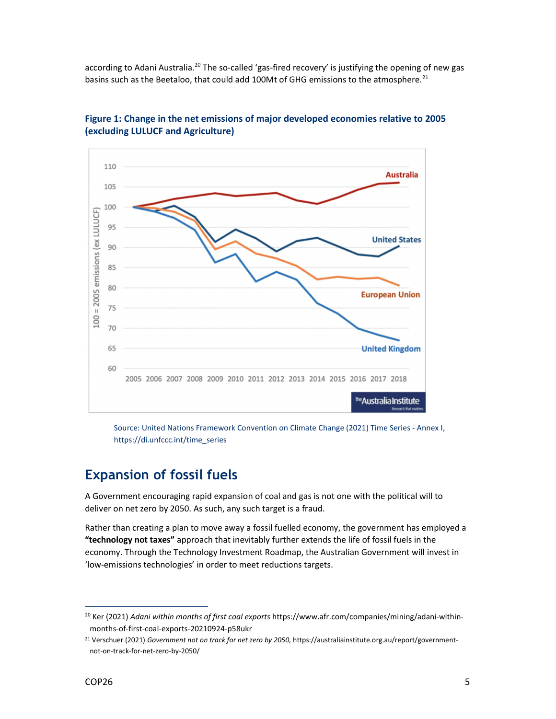according to Adani Australia.<sup>20</sup> The so-called 'gas-fired recovery' is justifying the opening of new gas basins such as the Beetaloo, that could add 100Mt of GHG emissions to the atmosphere.<sup>21</sup>



Figure 1: Change in the net emissions of major developed economies relative to 2005 (excluding LULUCF and Agriculture)

Source: United Nations Framework Convention on Climate Change (2021) Time Series - Annex I, https://di.unfccc.int/time\_series

#### Expansion of fossil fuels

A Government encouraging rapid expansion of coal and gas is not one with the political will to deliver on net zero by 2050. As such, any such target is a fraud.

Rather than creating a plan to move away a fossil fuelled economy, the government has employed a "technology not taxes" approach that inevitably further extends the life of fossil fuels in the economy. Through the Technology Investment Roadmap, the Australian Government will invest in 'low-emissions technologies' in order to meet reductions targets.

<sup>&</sup>lt;sup>20</sup> Ker (2021) Adani within months of first coal exports https://www.afr.com/companies/mining/adani-withinmonths-of-first-coal-exports-20210924-p58ukr

<sup>21</sup> Verschuer (2021) Government not on track for net zero by 2050, https://australiainstitute.org.au/report/governmentnot-on-track-for-net-zero-by-2050/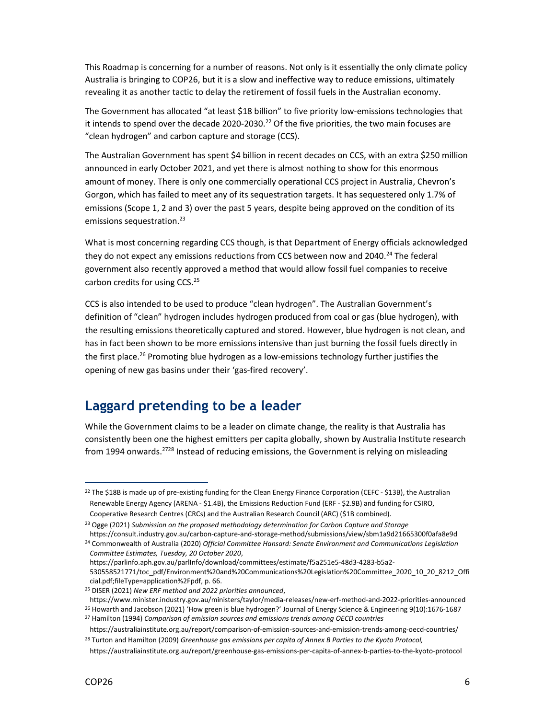This Roadmap is concerning for a number of reasons. Not only is it essentially the only climate policy Australia is bringing to COP26, but it is a slow and ineffective way to reduce emissions, ultimately revealing it as another tactic to delay the retirement of fossil fuels in the Australian economy.

The Government has allocated "at least \$18 billion" to five priority low-emissions technologies that it intends to spend over the decade 2020-2030.<sup>22</sup> Of the five priorities, the two main focuses are "clean hydrogen" and carbon capture and storage (CCS).

The Australian Government has spent \$4 billion in recent decades on CCS, with an extra \$250 million announced in early October 2021, and yet there is almost nothing to show for this enormous amount of money. There is only one commercially operational CCS project in Australia, Chevron's Gorgon, which has failed to meet any of its sequestration targets. It has sequestered only 1.7% of emissions (Scope 1, 2 and 3) over the past 5 years, despite being approved on the condition of its emissions sequestration.<sup>23</sup>

What is most concerning regarding CCS though, is that Department of Energy officials acknowledged they do not expect any emissions reductions from CCS between now and 2040.<sup>24</sup> The federal government also recently approved a method that would allow fossil fuel companies to receive carbon credits for using CCS.<sup>25</sup>

CCS is also intended to be used to produce "clean hydrogen". The Australian Government's definition of "clean" hydrogen includes hydrogen produced from coal or gas (blue hydrogen), with the resulting emissions theoretically captured and stored. However, blue hydrogen is not clean, and has in fact been shown to be more emissions intensive than just burning the fossil fuels directly in the first place.<sup>26</sup> Promoting blue hydrogen as a low-emissions technology further justifies the opening of new gas basins under their 'gas-fired recovery'.

#### Laggard pretending to be a leader

While the Government claims to be a leader on climate change, the reality is that Australia has consistently been one the highest emitters per capita globally, shown by Australia Institute research from 1994 onwards.<sup>2728</sup> Instead of reducing emissions, the Government is relying on misleading

<sup>23</sup> Ogge (2021) Submission on the proposed methodology determination for Carbon Capture and Storage

 $22$  The \$18B is made up of pre-existing funding for the Clean Energy Finance Corporation (CEFC - \$13B), the Australian Renewable Energy Agency (ARENA - \$1.4B), the Emissions Reduction Fund (ERF - \$2.9B) and funding for CSIRO, Cooperative Research Centres (CRCs) and the Australian Research Council (ARC) (\$1B combined).

https://consult.industry.gov.au/carbon-capture-and-storage-method/submissions/view/sbm1a9d21665300f0afa8e9d <sup>24</sup> Commonwealth of Australia (2020) Official Committee Hansard: Senate Environment and Communications Legislation Committee Estimates, Tuesday, 20 October 2020,

https://parlinfo.aph.gov.au/parlInfo/download/committees/estimate/f5a251e5-48d3-4283-b5a2-

<sup>530558521771/</sup>toc\_pdf/Environment%20and%20Communications%20Legislation%20Committee\_2020\_10\_20\_8212\_Offi cial.pdf;fileType=application%2Fpdf, p. 66.

<sup>25</sup> DISER (2021) New ERF method and 2022 priorities announced,

https://www.minister.industry.gov.au/ministers/taylor/media-releases/new-erf-method-and-2022-priorities-announced

<sup>26</sup> Howarth and Jacobson (2021) 'How green is blue hydrogen?' Journal of Energy Science & Engineering 9(10):1676-1687 <sup>27</sup> Hamilton (1994) Comparison of emission sources and emissions trends among OECD countries

https://australiainstitute.org.au/report/comparison-of-emission-sources-and-emission-trends-among-oecd-countries/ <sup>28</sup> Turton and Hamilton (2009) Greenhouse gas emissions per capita of Annex B Parties to the Kyoto Protocol,

https://australiainstitute.org.au/report/greenhouse-gas-emissions-per-capita-of-annex-b-parties-to-the-kyoto-protocol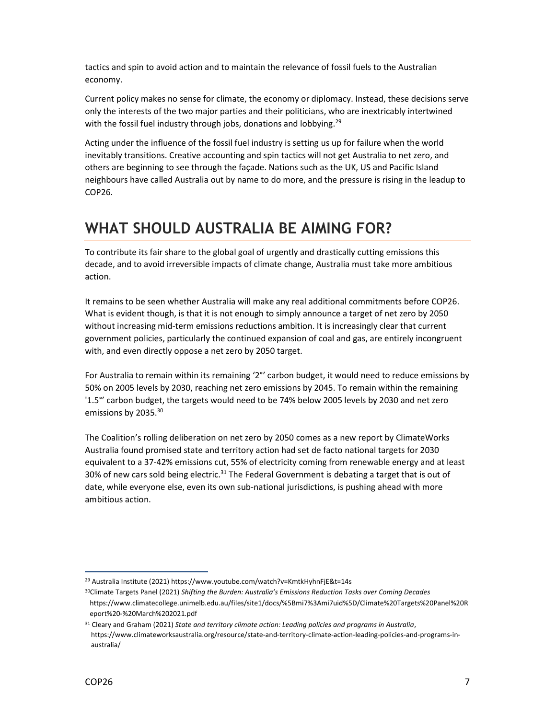tactics and spin to avoid action and to maintain the relevance of fossil fuels to the Australian economy.

Current policy makes no sense for climate, the economy or diplomacy. Instead, these decisions serve only the interests of the two major parties and their politicians, who are inextricably intertwined with the fossil fuel industry through jobs, donations and lobbying.<sup>29</sup>

Acting under the influence of the fossil fuel industry is setting us up for failure when the world inevitably transitions. Creative accounting and spin tactics will not get Australia to net zero, and others are beginning to see through the façade. Nations such as the UK, US and Pacific Island neighbours have called Australia out by name to do more, and the pressure is rising in the leadup to COP26.

#### WHAT SHOULD AUSTRALIA BE AIMING FOR?

To contribute its fair share to the global goal of urgently and drastically cutting emissions this decade, and to avoid irreversible impacts of climate change, Australia must take more ambitious action.

It remains to be seen whether Australia will make any real additional commitments before COP26. What is evident though, is that it is not enough to simply announce a target of net zero by 2050 without increasing mid-term emissions reductions ambition. It is increasingly clear that current government policies, particularly the continued expansion of coal and gas, are entirely incongruent with, and even directly oppose a net zero by 2050 target.

For Australia to remain within its remaining '2°' carbon budget, it would need to reduce emissions by 50% on 2005 levels by 2030, reaching net zero emissions by 2045. To remain within the remaining '1.5°' carbon budget, the targets would need to be 74% below 2005 levels by 2030 and net zero emissions by 2035.<sup>30</sup>

The Coalition's rolling deliberation on net zero by 2050 comes as a new report by ClimateWorks Australia found promised state and territory action had set de facto national targets for 2030 equivalent to a 37-42% emissions cut, 55% of electricity coming from renewable energy and at least 30% of new cars sold being electric.<sup>31</sup> The Federal Government is debating a target that is out of date, while everyone else, even its own sub-national jurisdictions, is pushing ahead with more ambitious action.

<sup>29</sup> Australia Institute (2021) https://www.youtube.com/watch?v=KmtkHyhnFjE&t=14s

<sup>30</sup>Climate Targets Panel (2021) Shifting the Burden: Australia's Emissions Reduction Tasks over Coming Decades https://www.climatecollege.unimelb.edu.au/files/site1/docs/%5Bmi7%3Ami7uid%5D/Climate%20Targets%20Panel%20R eport%20-%20March%202021.pdf

<sup>31</sup> Cleary and Graham (2021) State and territory climate action: Leading policies and programs in Australia, https://www.climateworksaustralia.org/resource/state-and-territory-climate-action-leading-policies-and-programs-inaustralia/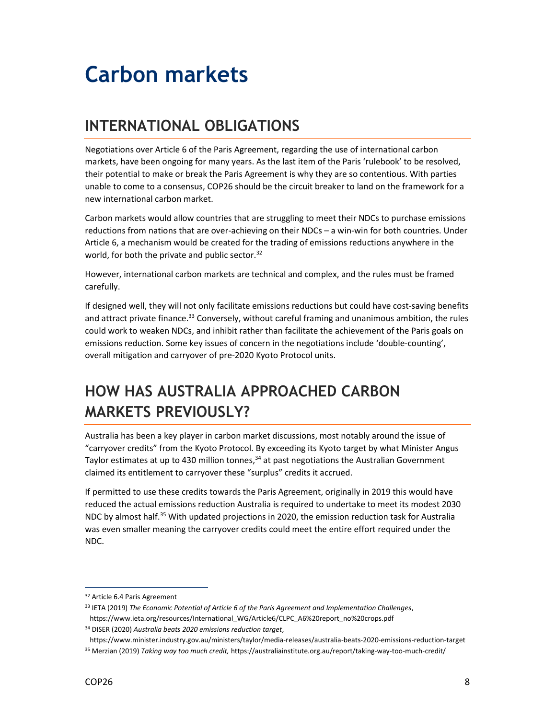### Carbon markets

### INTERNATIONAL OBLIGATIONS

Negotiations over Article 6 of the Paris Agreement, regarding the use of international carbon markets, have been ongoing for many years. As the last item of the Paris 'rulebook' to be resolved, their potential to make or break the Paris Agreement is why they are so contentious. With parties unable to come to a consensus, COP26 should be the circuit breaker to land on the framework for a new international carbon market.

Carbon markets would allow countries that are struggling to meet their NDCs to purchase emissions reductions from nations that are over-achieving on their NDCs – a win-win for both countries. Under Article 6, a mechanism would be created for the trading of emissions reductions anywhere in the world, for both the private and public sector. $32$ 

However, international carbon markets are technical and complex, and the rules must be framed carefully.

If designed well, they will not only facilitate emissions reductions but could have cost-saving benefits and attract private finance.<sup>33</sup> Conversely, without careful framing and unanimous ambition, the rules could work to weaken NDCs, and inhibit rather than facilitate the achievement of the Paris goals on emissions reduction. Some key issues of concern in the negotiations include 'double-counting', overall mitigation and carryover of pre-2020 Kyoto Protocol units.

### HOW HAS AUSTRALIA APPROACHED CARBON MARKETS PREVIOUSLY?

Australia has been a key player in carbon market discussions, most notably around the issue of "carryover credits" from the Kyoto Protocol. By exceeding its Kyoto target by what Minister Angus Taylor estimates at up to 430 million tonnes, $34$  at past negotiations the Australian Government claimed its entitlement to carryover these "surplus" credits it accrued.

If permitted to use these credits towards the Paris Agreement, originally in 2019 this would have reduced the actual emissions reduction Australia is required to undertake to meet its modest 2030 NDC by almost half.<sup>35</sup> With updated projections in 2020, the emission reduction task for Australia was even smaller meaning the carryover credits could meet the entire effort required under the NDC.

<sup>32</sup> Article 6.4 Paris Agreement

<sup>33</sup> IETA (2019) The Economic Potential of Article 6 of the Paris Agreement and Implementation Challenges,

https://www.ieta.org/resources/International\_WG/Article6/CLPC\_A6%20report\_no%20crops.pdf <sup>34</sup> DISER (2020) Australia beats 2020 emissions reduction target,

https://www.minister.industry.gov.au/ministers/taylor/media-releases/australia-beats-2020-emissions-reduction-target <sup>35</sup> Merzian (2019) Taking way too much credit, https://australiainstitute.org.au/report/taking-way-too-much-credit/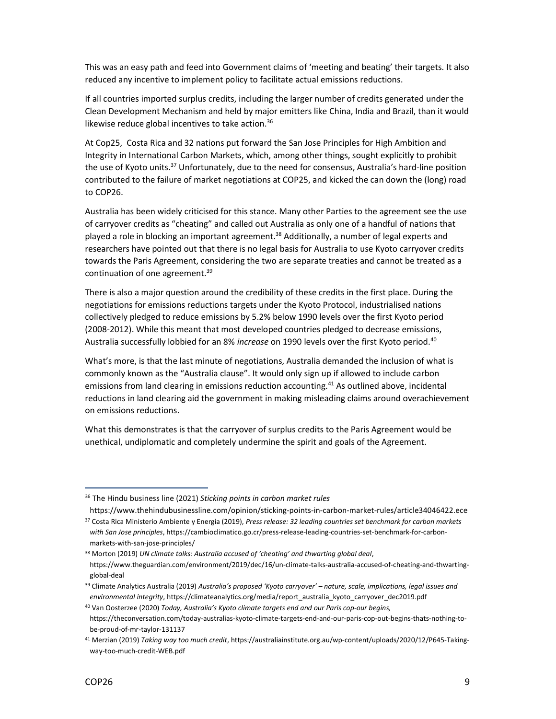This was an easy path and feed into Government claims of 'meeting and beating' their targets. It also reduced any incentive to implement policy to facilitate actual emissions reductions.

If all countries imported surplus credits, including the larger number of credits generated under the Clean Development Mechanism and held by major emitters like China, India and Brazil, than it would likewise reduce global incentives to take action.<sup>36</sup>

At Cop25, Costa Rica and 32 nations put forward the San Jose Principles for High Ambition and Integrity in International Carbon Markets, which, among other things, sought explicitly to prohibit the use of Kyoto units.<sup>37</sup> Unfortunately, due to the need for consensus, Australia's hard-line position contributed to the failure of market negotiations at COP25, and kicked the can down the (long) road to COP26.

Australia has been widely criticised for this stance. Many other Parties to the agreement see the use of carryover credits as "cheating" and called out Australia as only one of a handful of nations that played a role in blocking an important agreement.<sup>38</sup> Additionally, a number of legal experts and researchers have pointed out that there is no legal basis for Australia to use Kyoto carryover credits towards the Paris Agreement, considering the two are separate treaties and cannot be treated as a continuation of one agreement.<sup>39</sup>

There is also a major question around the credibility of these credits in the first place. During the negotiations for emissions reductions targets under the Kyoto Protocol, industrialised nations collectively pledged to reduce emissions by 5.2% below 1990 levels over the first Kyoto period (2008-2012). While this meant that most developed countries pledged to decrease emissions, Australia successfully lobbied for an 8% increase on 1990 levels over the first Kyoto period.<sup>40</sup>

What's more, is that the last minute of negotiations, Australia demanded the inclusion of what is commonly known as the "Australia clause". It would only sign up if allowed to include carbon emissions from land clearing in emissions reduction accounting.<sup>41</sup> As outlined above, incidental reductions in land clearing aid the government in making misleading claims around overachievement on emissions reductions.

What this demonstrates is that the carryover of surplus credits to the Paris Agreement would be unethical, undiplomatic and completely undermine the spirit and goals of the Agreement.

 $36$  The Hindu business line (2021) Sticking points in carbon market rules

https://www.thehindubusinessline.com/opinion/sticking-points-in-carbon-market-rules/article34046422.ece

<sup>37</sup> Costa Rica Ministerio Ambiente y Energia (2019), Press release: 32 leading countries set benchmark for carbon markets with San Jose principles, https://cambioclimatico.go.cr/press-release-leading-countries-set-benchmark-for-carbonmarkets-with-san-jose-principles/

 $38$  Morton (2019) UN climate talks: Australia accused of 'cheating' and thwarting global deal, https://www.theguardian.com/environment/2019/dec/16/un-climate-talks-australia-accused-of-cheating-and-thwartingglobal-deal

<sup>&</sup>lt;sup>39</sup> Climate Analytics Australia (2019) Australia's proposed 'Kyoto carryover' – nature, scale, implications, legal issues and environmental integrity, https://climateanalytics.org/media/report\_australia\_kyoto\_carryover\_dec2019.pdf

<sup>&</sup>lt;sup>40</sup> Van Oosterzee (2020) Today, Australia's Kyoto climate targets end and our Paris cop-our begins, https://theconversation.com/today-australias-kyoto-climate-targets-end-and-our-paris-cop-out-begins-thats-nothing-tobe-proud-of-mr-taylor-131137

<sup>41</sup> Merzian (2019) Taking way too much credit, https://australiainstitute.org.au/wp-content/uploads/2020/12/P645-Takingway-too-much-credit-WEB.pdf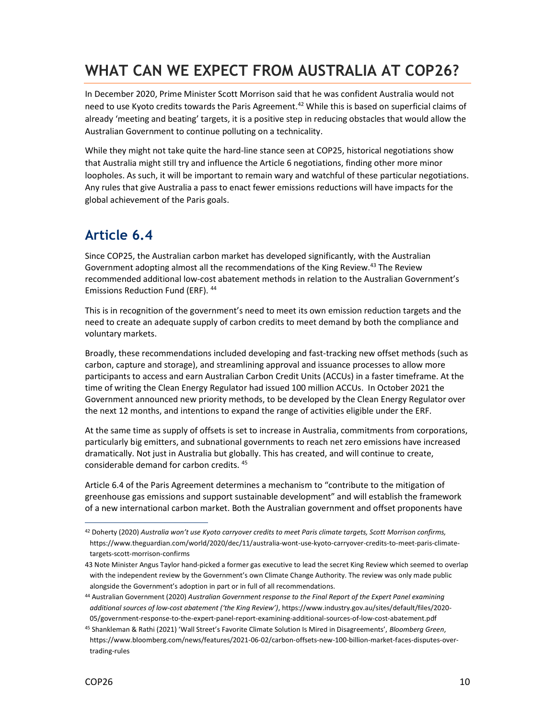#### WHAT CAN WE EXPECT FROM AUSTRALIA AT COP26?

In December 2020, Prime Minister Scott Morrison said that he was confident Australia would not need to use Kyoto credits towards the Paris Agreement.<sup>42</sup> While this is based on superficial claims of already 'meeting and beating' targets, it is a positive step in reducing obstacles that would allow the Australian Government to continue polluting on a technicality.

While they might not take quite the hard-line stance seen at COP25, historical negotiations show that Australia might still try and influence the Article 6 negotiations, finding other more minor loopholes. As such, it will be important to remain wary and watchful of these particular negotiations. Any rules that give Australia a pass to enact fewer emissions reductions will have impacts for the global achievement of the Paris goals.

#### Article 6.4

Since COP25, the Australian carbon market has developed significantly, with the Australian Government adopting almost all the recommendations of the King Review.<sup>43</sup> The Review recommended additional low-cost abatement methods in relation to the Australian Government's Emissions Reduction Fund (ERF). <sup>44</sup>

This is in recognition of the government's need to meet its own emission reduction targets and the need to create an adequate supply of carbon credits to meet demand by both the compliance and voluntary markets.

Broadly, these recommendations included developing and fast-tracking new offset methods (such as carbon, capture and storage), and streamlining approval and issuance processes to allow more participants to access and earn Australian Carbon Credit Units (ACCUs) in a faster timeframe. At the time of writing the Clean Energy Regulator had issued 100 million ACCUs. In October 2021 the Government announced new priority methods, to be developed by the Clean Energy Regulator over the next 12 months, and intentions to expand the range of activities eligible under the ERF.

At the same time as supply of offsets is set to increase in Australia, commitments from corporations, particularly big emitters, and subnational governments to reach net zero emissions have increased dramatically. Not just in Australia but globally. This has created, and will continue to create, considerable demand for carbon credits. <sup>45</sup>

Article 6.4 of the Paris Agreement determines a mechanism to "contribute to the mitigation of greenhouse gas emissions and support sustainable development" and will establish the framework of a new international carbon market. Both the Australian government and offset proponents have

 $42$  Doherty (2020) Australia won't use Kyoto carryover credits to meet Paris climate targets, Scott Morrison confirms, https://www.theguardian.com/world/2020/dec/11/australia-wont-use-kyoto-carryover-credits-to-meet-paris-climatetargets-scott-morrison-confirms

<sup>43</sup> Note Minister Angus Taylor hand-picked a former gas executive to lead the secret King Review which seemed to overlap with the independent review by the Government's own Climate Change Authority. The review was only made public alongside the Government's adoption in part or in full of all recommendations.

<sup>44</sup> Australian Government (2020) Australian Government response to the Final Report of the Expert Panel examining additional sources of low-cost abatement ('the King Review'), https://www.industry.gov.au/sites/default/files/2020- 05/government-response-to-the-expert-panel-report-examining-additional-sources-of-low-cost-abatement.pdf

<sup>45</sup> Shankleman & Rathi (2021) 'Wall Street's Favorite Climate Solution Is Mired in Disagreements', Bloomberg Green, https://www.bloomberg.com/news/features/2021-06-02/carbon-offsets-new-100-billion-market-faces-disputes-overtrading-rules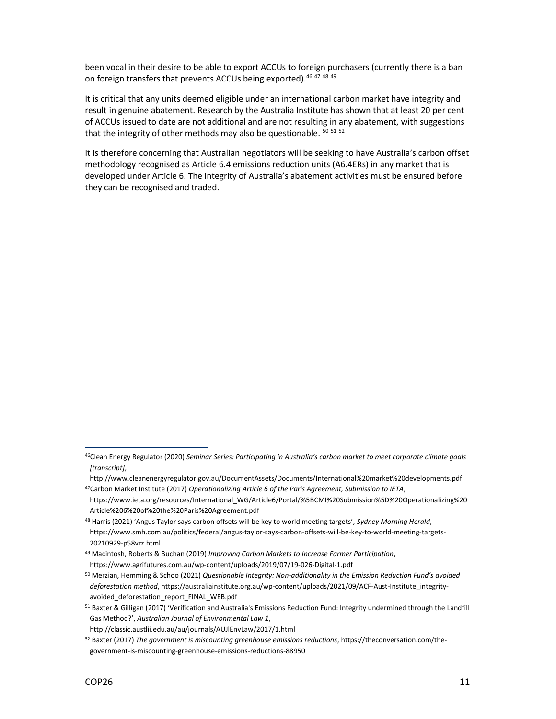been vocal in their desire to be able to export ACCUs to foreign purchasers (currently there is a ban on foreign transfers that prevents ACCUs being exported). 46 47 48 49

It is critical that any units deemed eligible under an international carbon market have integrity and result in genuine abatement. Research by the Australia Institute has shown that at least 20 per cent of ACCUs issued to date are not additional and are not resulting in any abatement, with suggestions that the integrity of other methods may also be questionable. 50 51 52

It is therefore concerning that Australian negotiators will be seeking to have Australia's carbon offset methodology recognised as Article 6.4 emissions reduction units (A6.4ERs) in any market that is developed under Article 6. The integrity of Australia's abatement activities must be ensured before they can be recognised and traded.

<sup>48</sup> Harris (2021) 'Angus Taylor says carbon offsets will be key to world meeting targets', Sydney Morning Herald,

<sup>&</sup>lt;sup>46</sup>Clean Energy Regulator (2020) Seminar Series: Participating in Australia's carbon market to meet corporate climate goals [transcript],

http://www.cleanenergyregulator.gov.au/DocumentAssets/Documents/International%20market%20developments.pdf 47Carbon Market Institute (2017) Operationalizing Article 6 of the Paris Agreement, Submission to IETA,

https://www.ieta.org/resources/International\_WG/Article6/Portal/%5BCMI%20Submission%5D%20Operationalizing%20 Article%206%20of%20the%20Paris%20Agreement.pdf

https://www.smh.com.au/politics/federal/angus-taylor-says-carbon-offsets-will-be-key-to-world-meeting-targets-20210929-p58vrz.html

<sup>&</sup>lt;sup>49</sup> Macintosh, Roberts & Buchan (2019) Improving Carbon Markets to Increase Farmer Participation, https://www.agrifutures.com.au/wp-content/uploads/2019/07/19-026-Digital-1.pdf

<sup>&</sup>lt;sup>50</sup> Merzian, Hemming & Schoo (2021) Questionable Integrity: Non-additionality in the Emission Reduction Fund's avoided deforestation method, https://australiainstitute.org.au/wp-content/uploads/2021/09/ACF-Aust-Institute\_integrityavoided deforestation report FINAL WEB.pdf

<sup>51</sup> Baxter & Gilligan (2017) 'Verification and Australia's Emissions Reduction Fund: Integrity undermined through the Landfill Gas Method?', Australian Journal of Environmental Law 1,

http://classic.austlii.edu.au/au/journals/AUJlEnvLaw/2017/1.html

 $52$  Baxter (2017) The government is miscounting greenhouse emissions reductions, https://theconversation.com/thegovernment-is-miscounting-greenhouse-emissions-reductions-88950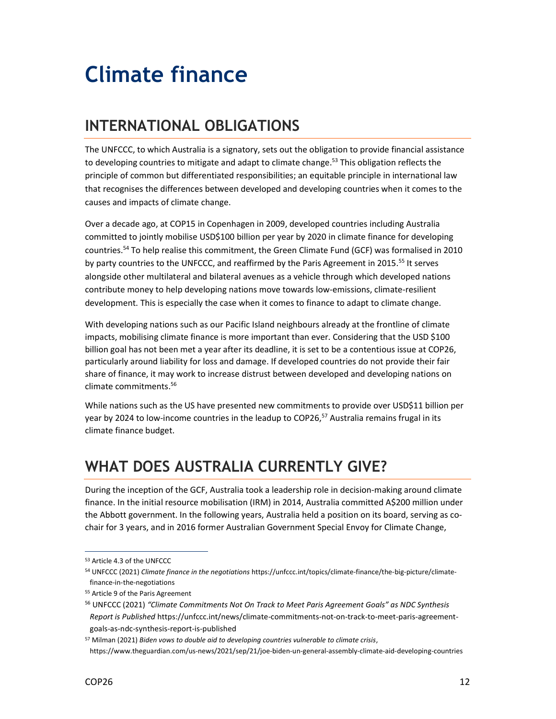## Climate finance

### INTERNATIONAL OBLIGATIONS

The UNFCCC, to which Australia is a signatory, sets out the obligation to provide financial assistance to developing countries to mitigate and adapt to climate change.<sup>53</sup> This obligation reflects the principle of common but differentiated responsibilities; an equitable principle in international law that recognises the differences between developed and developing countries when it comes to the causes and impacts of climate change.

Over a decade ago, at COP15 in Copenhagen in 2009, developed countries including Australia committed to jointly mobilise USD\$100 billion per year by 2020 in climate finance for developing countries.<sup>54</sup> To help realise this commitment, the Green Climate Fund (GCF) was formalised in 2010 by party countries to the UNFCCC, and reaffirmed by the Paris Agreement in 2015.<sup>55</sup> It serves alongside other multilateral and bilateral avenues as a vehicle through which developed nations contribute money to help developing nations move towards low-emissions, climate-resilient development. This is especially the case when it comes to finance to adapt to climate change.

With developing nations such as our Pacific Island neighbours already at the frontline of climate impacts, mobilising climate finance is more important than ever. Considering that the USD \$100 billion goal has not been met a year after its deadline, it is set to be a contentious issue at COP26, particularly around liability for loss and damage. If developed countries do not provide their fair share of finance, it may work to increase distrust between developed and developing nations on climate commitments.<sup>56</sup>

While nations such as the US have presented new commitments to provide over USD\$11 billion per year by 2024 to low-income countries in the leadup to COP26, $57$  Australia remains frugal in its climate finance budget.

#### WHAT DOES AUSTRALIA CURRENTLY GIVE?

During the inception of the GCF, Australia took a leadership role in decision-making around climate finance. In the initial resource mobilisation (IRM) in 2014, Australia committed A\$200 million under the Abbott government. In the following years, Australia held a position on its board, serving as cochair for 3 years, and in 2016 former Australian Government Special Envoy for Climate Change,

<sup>53</sup> Article 4.3 of the UNFCCC

<sup>54</sup> UNFCCC (2021) Climate finance in the negotiations https://unfccc.int/topics/climate-finance/the-big-picture/climatefinance-in-the-negotiations

<sup>55</sup> Article 9 of the Paris Agreement

<sup>&</sup>lt;sup>56</sup> UNFCCC (2021) "Climate Commitments Not On Track to Meet Paris Agreement Goals" as NDC Synthesis Report is Published https://unfccc.int/news/climate-commitments-not-on-track-to-meet-paris-agreementgoals-as-ndc-synthesis-report-is-published

<sup>&</sup>lt;sup>57</sup> Milman (2021) Biden vows to double aid to developing countries vulnerable to climate crisis,

https://www.theguardian.com/us-news/2021/sep/21/joe-biden-un-general-assembly-climate-aid-developing-countries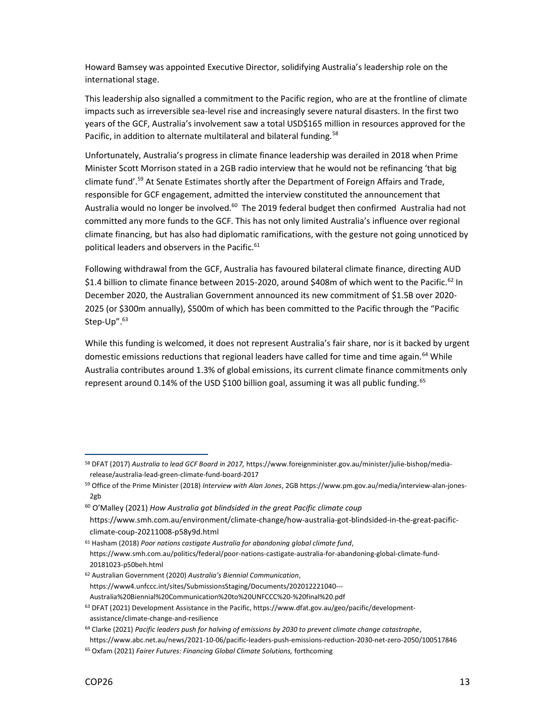Howard Bamsey was appointed Executive Director, solidifying Australia's leadership role on the international stage.

This leadership also signalled a commitment to the Pacific region, who are at the frontline of climate impacts such as irreversible sea-level rise and increasingly severe natural disasters. In the first two years of the GCF, Australia's involvement saw a total USD\$165 million in resources approved for the Pacific, in addition to alternate multilateral and bilateral funding.<sup>58</sup>

Unfortunately, Australia's progress in climate finance leadership was derailed in 2018 when Prime Minister Scott Morrison stated in a 2GB radio interview that he would not be refinancing 'that big climate fund'.<sup>59</sup> At Senate Estimates shortly after the Department of Foreign Affairs and Trade, responsible for GCF engagement, admitted the interview constituted the announcement that Australia would no longer be involved.<sup>60</sup> The 2019 federal budget then confirmed Australia had not committed any more funds to the GCF. This has not only limited Australia's influence over regional climate financing, but has also had diplomatic ramifications, with the gesture not going unnoticed by political leaders and observers in the Pacific.<sup>61</sup>

Following withdrawal from the GCF, Australia has favoured bilateral climate finance, directing AUD \$1.4 billion to climate finance between 2015-2020, around \$408m of which went to the Pacific.<sup>62</sup> In December 2020, the Australian Government announced its new commitment of \$1.5B over 2020- 2025 (or \$300m annually), \$500m of which has been committed to the Pacific through the "Pacific Step-Up".<sup>63</sup>

While this funding is welcomed, it does not represent Australia's fair share, nor is it backed by urgent domestic emissions reductions that regional leaders have called for time and time again.<sup>64</sup> While Australia contributes around 1.3% of global emissions, its current climate finance commitments only represent around 0.14% of the USD \$100 billion goal, assuming it was all public funding.<sup>65</sup>

<sup>58</sup> DFAT (2017) Australia to lead GCF Board in 2017, https://www.foreignminister.gov.au/minister/julie-bishop/mediarelease/australia-lead-green-climate-fund-board-2017

<sup>59</sup> Office of the Prime Minister (2018) Interview with Alan Jones, 2GB https://www.pm.gov.au/media/interview-alan-jones-2gb

 $60$  O'Malley (2021) How Australia got blindsided in the great Pacific climate coup https://www.smh.com.au/environment/climate-change/how-australia-got-blindsided-in-the-great-pacific-

climate-coup-20211008-p58y9d.html

 $61$  Hasham (2018) Poor nations castigate Australia for abandoning global climate fund, https://www.smh.com.au/politics/federal/poor-nations-castigate-australia-for-abandoning-global-climate-fund-20181023-p50beh.html

<sup>62</sup> Australian Government (2020) Australia's Biennial Communication, https://www4.unfccc.int/sites/SubmissionsStaging/Documents/202012221040--- Australia%20Biennial%20Communication%20to%20UNFCCC%20-%20final%20.pdf

<sup>63</sup> DFAT (2021) Development Assistance in the Pacific, https://www.dfat.gov.au/geo/pacific/developmentassistance/climate-change-and-resilience

<sup>&</sup>lt;sup>64</sup> Clarke (2021) Pacific leaders push for halving of emissions by 2030 to prevent climate change catastrophe, https://www.abc.net.au/news/2021-10-06/pacific-leaders-push-emissions-reduction-2030-net-zero-2050/100517846

<sup>65</sup> Oxfam (2021) Fairer Futures: Financing Global Climate Solutions, forthcoming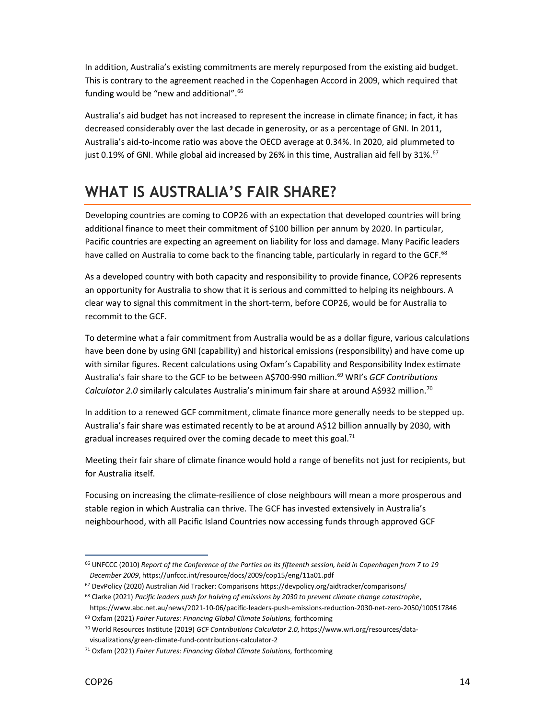In addition, Australia's existing commitments are merely repurposed from the existing aid budget. This is contrary to the agreement reached in the Copenhagen Accord in 2009, which required that funding would be "new and additional".<sup>66</sup>

Australia's aid budget has not increased to represent the increase in climate finance; in fact, it has decreased considerably over the last decade in generosity, or as a percentage of GNI. In 2011, Australia's aid-to-income ratio was above the OECD average at 0.34%. In 2020, aid plummeted to just 0.19% of GNI. While global aid increased by 26% in this time, Australian aid fell by 31%.<sup>67</sup>

#### WHAT IS AUSTRALIA'S FAIR SHARE?

Developing countries are coming to COP26 with an expectation that developed countries will bring additional finance to meet their commitment of \$100 billion per annum by 2020. In particular, Pacific countries are expecting an agreement on liability for loss and damage. Many Pacific leaders have called on Australia to come back to the financing table, particularly in regard to the GCF.<sup>68</sup>

As a developed country with both capacity and responsibility to provide finance, COP26 represents an opportunity for Australia to show that it is serious and committed to helping its neighbours. A clear way to signal this commitment in the short-term, before COP26, would be for Australia to recommit to the GCF.

To determine what a fair commitment from Australia would be as a dollar figure, various calculations have been done by using GNI (capability) and historical emissions (responsibility) and have come up with similar figures. Recent calculations using Oxfam's Capability and Responsibility Index estimate Australia's fair share to the GCF to be between A\$700-990 million.<sup>69</sup> WRI's GCF Contributions Calculator 2.0 similarly calculates Australia's minimum fair share at around A\$932 million.<sup>70</sup>

In addition to a renewed GCF commitment, climate finance more generally needs to be stepped up. Australia's fair share was estimated recently to be at around A\$12 billion annually by 2030, with gradual increases required over the coming decade to meet this goal.<sup>71</sup>

Meeting their fair share of climate finance would hold a range of benefits not just for recipients, but for Australia itself.

Focusing on increasing the climate-resilience of close neighbours will mean a more prosperous and stable region in which Australia can thrive. The GCF has invested extensively in Australia's neighbourhood, with all Pacific Island Countries now accessing funds through approved GCF

<sup>66</sup> UNFCCC (2010) Report of the Conference of the Parties on its fifteenth session, held in Copenhagen from 7 to 19 December 2009, https://unfccc.int/resource/docs/2009/cop15/eng/11a01.pdf

<sup>67</sup> DevPolicy (2020) Australian Aid Tracker: Comparisons https://devpolicy.org/aidtracker/comparisons/

<sup>&</sup>lt;sup>68</sup> Clarke (2021) Pacific leaders push for halving of emissions by 2030 to prevent climate change catastrophe,

https://www.abc.net.au/news/2021-10-06/pacific-leaders-push-emissions-reduction-2030-net-zero-2050/100517846  $69$  Oxfam (2021) Fairer Futures: Financing Global Climate Solutions, forthcoming

<sup>70</sup> World Resources Institute (2019) GCF Contributions Calculator 2.0, https://www.wri.org/resources/datavisualizations/green-climate-fund-contributions-calculator-2

<sup>&</sup>lt;sup>71</sup> Oxfam (2021) Fairer Futures: Financing Global Climate Solutions, forthcoming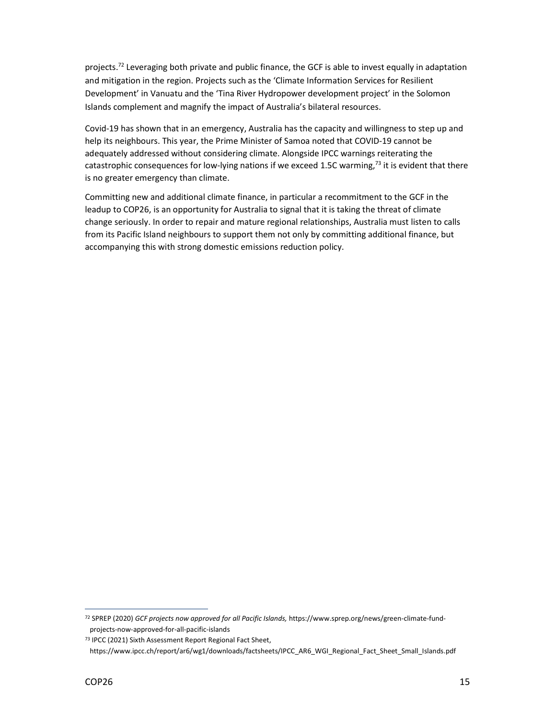projects.<sup>72</sup> Leveraging both private and public finance, the GCF is able to invest equally in adaptation and mitigation in the region. Projects such as the 'Climate Information Services for Resilient Development' in Vanuatu and the 'Tina River Hydropower development project' in the Solomon Islands complement and magnify the impact of Australia's bilateral resources.

Covid-19 has shown that in an emergency, Australia has the capacity and willingness to step up and help its neighbours. This year, the Prime Minister of Samoa noted that COVID-19 cannot be adequately addressed without considering climate. Alongside IPCC warnings reiterating the catastrophic consequences for low-lying nations if we exceed 1.5C warming,<sup>73</sup> it is evident that there is no greater emergency than climate.

Committing new and additional climate finance, in particular a recommitment to the GCF in the leadup to COP26, is an opportunity for Australia to signal that it is taking the threat of climate change seriously. In order to repair and mature regional relationships, Australia must listen to calls from its Pacific Island neighbours to support them not only by committing additional finance, but accompanying this with strong domestic emissions reduction policy.

<sup>72</sup> SPREP (2020) GCF projects now approved for all Pacific Islands, https://www.sprep.org/news/green-climate-fundprojects-now-approved-for-all-pacific-islands

<sup>73</sup> IPCC (2021) Sixth Assessment Report Regional Fact Sheet,

https://www.ipcc.ch/report/ar6/wg1/downloads/factsheets/IPCC\_AR6\_WGI\_Regional\_Fact\_Sheet\_Small\_Islands.pdf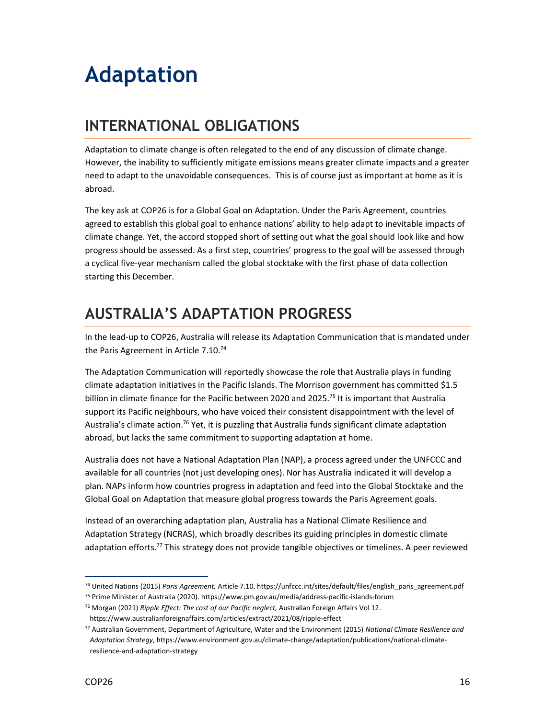## Adaptation

#### INTERNATIONAL OBLIGATIONS

Adaptation to climate change is often relegated to the end of any discussion of climate change. However, the inability to sufficiently mitigate emissions means greater climate impacts and a greater need to adapt to the unavoidable consequences. This is of course just as important at home as it is abroad.

The key ask at COP26 is for a Global Goal on Adaptation. Under the Paris Agreement, countries agreed to establish this global goal to enhance nations' ability to help adapt to inevitable impacts of climate change. Yet, the accord stopped short of setting out what the goal should look like and how progress should be assessed. As a first step, countries' progress to the goal will be assessed through a cyclical five-year mechanism called the global stocktake with the first phase of data collection starting this December.

#### AUSTRALIA'S ADAPTATION PROGRESS

In the lead-up to COP26, Australia will release its Adaptation Communication that is mandated under the Paris Agreement in Article 7.10.<sup>74</sup>

The Adaptation Communication will reportedly showcase the role that Australia plays in funding climate adaptation initiatives in the Pacific Islands. The Morrison government has committed \$1.5 billion in climate finance for the Pacific between 2020 and 2025.<sup>75</sup> It is important that Australia support its Pacific neighbours, who have voiced their consistent disappointment with the level of Australia's climate action.<sup>76</sup> Yet, it is puzzling that Australia funds significant climate adaptation abroad, but lacks the same commitment to supporting adaptation at home.

Australia does not have a National Adaptation Plan (NAP), a process agreed under the UNFCCC and available for all countries (not just developing ones). Nor has Australia indicated it will develop a plan. NAPs inform how countries progress in adaptation and feed into the Global Stocktake and the Global Goal on Adaptation that measure global progress towards the Paris Agreement goals.

Instead of an overarching adaptation plan, Australia has a National Climate Resilience and Adaptation Strategy (NCRAS), which broadly describes its guiding principles in domestic climate adaptation efforts.<sup>77</sup> This strategy does not provide tangible objectives or timelines. A peer reviewed

<sup>74</sup> United Nations (2015) Paris Agreement, Article 7.10, https://unfccc.int/sites/default/files/english\_paris\_agreement.pdf

<sup>75</sup> Prime Minister of Australia (2020). https://www.pm.gov.au/media/address-pacific-islands-forum

<sup>&</sup>lt;sup>76</sup> Morgan (2021) Ripple Effect: The cost of our Pacific neglect, Australian Foreign Affairs Vol 12.

https://www.australianforeignaffairs.com/articles/extract/2021/08/ripple-effect

<sup>77</sup> Australian Government, Department of Agriculture, Water and the Environment (2015) National Climate Resilience and Adaptation Strategy, https://www.environment.gov.au/climate-change/adaptation/publications/national-climateresilience-and-adaptation-strategy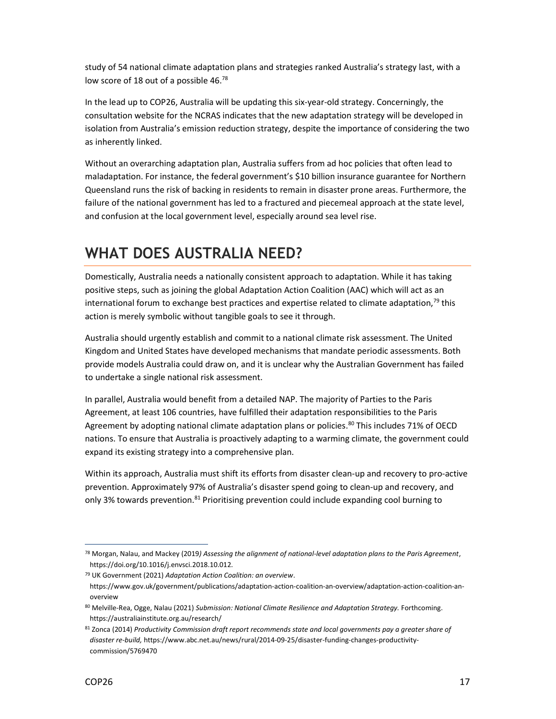study of 54 national climate adaptation plans and strategies ranked Australia's strategy last, with a low score of 18 out of a possible 46.78

In the lead up to COP26, Australia will be updating this six-year-old strategy. Concerningly, the consultation website for the NCRAS indicates that the new adaptation strategy will be developed in isolation from Australia's emission reduction strategy, despite the importance of considering the two as inherently linked.

Without an overarching adaptation plan, Australia suffers from ad hoc policies that often lead to maladaptation. For instance, the federal government's \$10 billion insurance guarantee for Northern Queensland runs the risk of backing in residents to remain in disaster prone areas. Furthermore, the failure of the national government has led to a fractured and piecemeal approach at the state level, and confusion at the local government level, especially around sea level rise.

#### WHAT DOES AUSTRALIA NEED?

Domestically, Australia needs a nationally consistent approach to adaptation. While it has taking positive steps, such as joining the global Adaptation Action Coalition (AAC) which will act as an international forum to exchange best practices and expertise related to climate adaptation, $79$  this action is merely symbolic without tangible goals to see it through.

Australia should urgently establish and commit to a national climate risk assessment. The United Kingdom and United States have developed mechanisms that mandate periodic assessments. Both provide models Australia could draw on, and it is unclear why the Australian Government has failed to undertake a single national risk assessment.

In parallel, Australia would benefit from a detailed NAP. The majority of Parties to the Paris Agreement, at least 106 countries, have fulfilled their adaptation responsibilities to the Paris Agreement by adopting national climate adaptation plans or policies.<sup>80</sup> This includes 71% of OECD nations. To ensure that Australia is proactively adapting to a warming climate, the government could expand its existing strategy into a comprehensive plan.

Within its approach, Australia must shift its efforts from disaster clean-up and recovery to pro-active prevention. Approximately 97% of Australia's disaster spend going to clean-up and recovery, and only 3% towards prevention.<sup>81</sup> Prioritising prevention could include expanding cool burning to

 $^{78}$  Morgan, Nalau, and Mackey (2019) Assessing the alignment of national-level adaptation plans to the Paris Agreement, https://doi.org/10.1016/j.envsci.2018.10.012.

<sup>79</sup> UK Government (2021) Adaptation Action Coalition: an overview. https://www.gov.uk/government/publications/adaptation-action-coalition-an-overview/adaptation-action-coalition-anoverview

<sup>80</sup> Melville-Rea, Ogge, Nalau (2021) Submission: National Climate Resilience and Adaptation Strategy. Forthcoming. https://australiainstitute.org.au/research/

<sup>81</sup> Zonca (2014) Productivity Commission draft report recommends state and local governments pay a greater share of disaster re-build, https://www.abc.net.au/news/rural/2014-09-25/disaster-funding-changes-productivitycommission/5769470